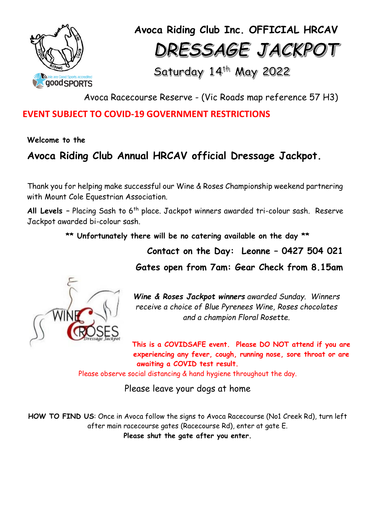

**Avoca Riding Club Inc. OFFICIAL HRCAV** DRESSAGE JACKPOT

Saturday 14th May 2022

Avoca Racecourse Reserve - (Vic Roads map reference 57 H3)

### **EVENT SUBJECT TO COVID-19 GOVERNMENT RESTRICTIONS**

**Welcome to the** 

# **Avoca Riding Club Annual HRCAV official Dressage Jackpot.**

Thank you for helping make successful our Wine & Roses Championship weekend partnering with Mount Cole Equestrian Association.

All Levels - Placing Sash to 6<sup>th</sup> place. Jackpot winners awarded tri-colour sash. Reserve Jackpot awarded bi-colour sash.

**\*\* Unfortunately there will be no catering available on the day \*\***

**Contact on the Day: Leonne – 0427 504 021**

**Gates open from 7am: Gear Check from 8.15am**



*Wine & Roses Jackpot winners awarded Sunday. Winners receive a choice of Blue Pyrenees Wine, Roses chocolates and a champion Floral Rosette.*

**This is a COVIDSAFE event. Please DO NOT attend if you are experiencing any fever, cough, running nose, sore throat or are awaiting a COVID test result.**

Please observe social distancing & hand hygiene throughout the day.

Please leave your dogs at home

**HOW TO FIND US**: Once in Avoca follow the signs to Avoca Racecourse (No1 Creek Rd), turn left after main racecourse gates (Racecourse Rd), enter at gate E. **Please shut the gate after you enter.**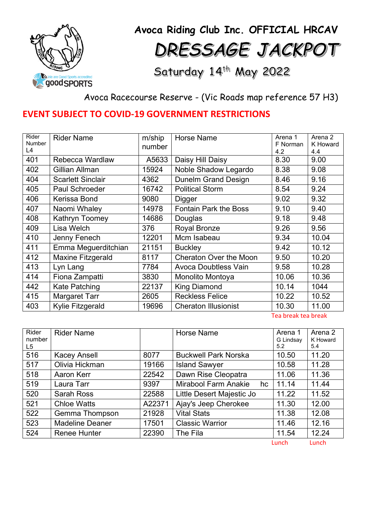

**Avoca Riding Club Inc. OFFICIAL HRCAV** DRESSAGE JACKPOT

Saturday 14th May 2022

Avoca Racecourse Reserve - (Vic Roads map reference 57 H3)

## **EVENT SUBJECT TO COVID-19 GOVERNMENT RESTRICTIONS**

| Rider         | <b>Rider Name</b>        | m/ship | <b>Horse Name</b>             | Arena 1  | Arena 2         |
|---------------|--------------------------|--------|-------------------------------|----------|-----------------|
| <b>Number</b> |                          | number |                               | F Norman | <b>K</b> Howard |
| L4            |                          |        |                               | 4.2      | 4.4             |
| 401           | Rebecca Wardlaw          | A5633  | Daisy Hill Daisy              | 8.30     | 9.00            |
| 402           | Gillian Allman           | 15924  | Noble Shadow Legardo          | 8.38     | 9.08            |
| 404           | <b>Scarlett Sinclair</b> | 4362   | <b>Dunelm Grand Design</b>    | 8.46     | 9.16            |
| 405           | <b>Paul Schroeder</b>    | 16742  | <b>Political Storm</b>        | 8.54     | 9.24            |
| 406           | Kerissa Bond             | 9080   | Digger                        | 9.02     | 9.32            |
| 407           | Naomi Whaley             | 14978  | <b>Fontain Park the Boss</b>  | 9.10     | 9.40            |
| 408           | Kathryn Toomey           | 14686  | Douglas                       | 9.18     | 9.48            |
| 409           | Lisa Welch               | 376    | <b>Royal Bronze</b>           | 9.26     | 9.56            |
| 410           | Jenny Fenech             | 12201  | Mcm Isabeau                   | 9.34     | 10.04           |
| 411           | Emma Meguerditchian      | 21151  | <b>Buckley</b>                | 9.42     | 10.12           |
| 412           | <b>Maxine Fitzgerald</b> | 8117   | <b>Cheraton Over the Moon</b> | 9.50     | 10.20           |
| 413           | Lyn Lang                 | 7784   | <b>Avoca Doubtless Vain</b>   | 9.58     | 10.28           |
| 414           | Fiona Zampatti           | 3830   | Monolito Montoya              | 10.06    | 10.36           |
| 442           | <b>Kate Patching</b>     | 22137  | <b>King Diamond</b>           | 10.14    | 1044            |
| 415           | <b>Margaret Tarr</b>     | 2605   | <b>Reckless Felice</b>        | 10.22    | 10.52           |
| 403           | Kylie Fitzgerald         | 19696  | <b>Cheraton Illusionist</b>   | 10.30    | 11.00           |

Tea break tea break

| Rider<br>number<br>L5 | <b>Rider Name</b>      |        | <b>Horse Name</b>                 | Arena 1<br>G Lindsay<br>5.2  | Arena 2<br>K Howard<br>5.4 |
|-----------------------|------------------------|--------|-----------------------------------|------------------------------|----------------------------|
| 516                   | <b>Kacey Ansell</b>    | 8077   | <b>Buckwell Park Norska</b>       | 10.50                        | 11.20                      |
| 517                   | Olivia Hickman         | 19166  | <b>Island Sawyer</b>              | 10.58                        | 11.28                      |
| 518                   | Aaron Kerr             | 22542  | Dawn Rise Cleopatra               | 11.06                        | 11.36                      |
| 519                   | Laura Tarr             | 9397   | <b>Mirabool Farm Anakie</b><br>hc | 11.14                        | 11.44                      |
| 520                   | Sarah Ross             | 22588  | Little Desert Majestic Jo         | 11.22                        | 11.52                      |
| 521                   | <b>Chloe Watts</b>     | A22371 | Ajay's Jeep Cherokee              | 11.30                        | 12.00                      |
| 522                   | Gemma Thompson         | 21928  | <b>Vital Stats</b>                | 11.38                        | 12.08                      |
| 523                   | <b>Madeline Deaner</b> | 17501  | <b>Classic Warrior</b>            | 11.46                        | 12.16                      |
| 524                   | <b>Renee Hunter</b>    | 22390  | The Fila                          | 11.54                        | 12.24                      |
|                       |                        |        |                                   | المستحقق والمستحدث والمنافذة | المناسب سيروز المرا        |

Lunch Lunch